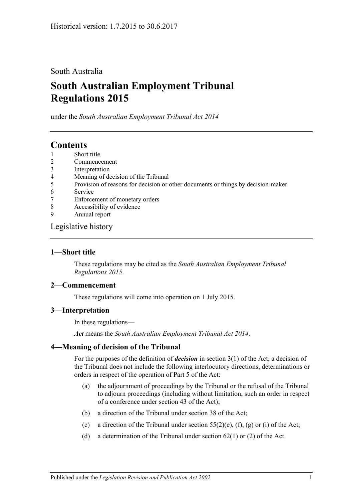### South Australia

# **South Australian Employment Tribunal Regulations 2015**

under the *South Australian Employment Tribunal Act 2014*

## **Contents**

- 1 [Short title](#page-0-0)
- 2 [Commencement](#page-0-1)
- 3 [Interpretation](#page-0-2)
- 4 [Meaning of decision of the Tribunal](#page-0-3)
- 5 [Provision of reasons for decision or other documents or things by decision-maker](#page-1-0)
- 6 [Service](#page-1-1)
- 7 [Enforcement of monetary orders](#page-1-2)
- 8 [Accessibility of evidence](#page-1-3)
- 9 [Annual report](#page-2-0)

#### [Legislative history](#page-4-0)

#### <span id="page-0-0"></span>**1—Short title**

These regulations may be cited as the *South Australian Employment Tribunal Regulations 2015*.

#### <span id="page-0-1"></span>**2—Commencement**

These regulations will come into operation on 1 July 2015.

#### <span id="page-0-2"></span>**3—Interpretation**

In these regulations—

*Act* means the *[South Australian Employment Tribunal Act](http://www.legislation.sa.gov.au/index.aspx?action=legref&type=act&legtitle=South%20Australian%20Employment%20Tribunal%20Act%202014) 2014*.

### <span id="page-0-3"></span>**4—Meaning of decision of the Tribunal**

For the purposes of the definition of *decision* in section 3(1) of the Act, a decision of the Tribunal does not include the following interlocutory directions, determinations or orders in respect of the operation of Part 5 of the Act:

- (a) the adjournment of proceedings by the Tribunal or the refusal of the Tribunal to adjourn proceedings (including without limitation, such an order in respect of a conference under section 43 of the Act);
- (b) a direction of the Tribunal under section 38 of the Act;
- (c) a direction of the Tribunal under section  $55(2)(e)$ ,  $(f)$ ,  $(g)$  or  $(i)$  of the Act;
- (d) a determination of the Tribunal under section  $62(1)$  or (2) of the Act.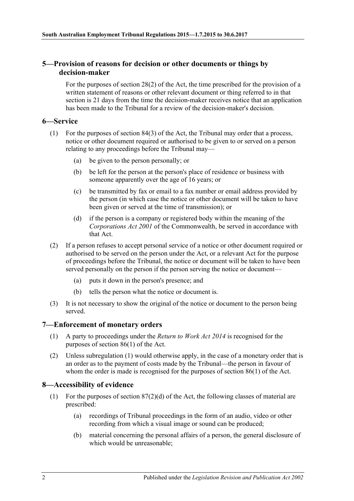#### <span id="page-1-0"></span>**5—Provision of reasons for decision or other documents or things by decision-maker**

For the purposes of section 28(2) of the Act, the time prescribed for the provision of a written statement of reasons or other relevant document or thing referred to in that section is 21 days from the time the decision-maker receives notice that an application has been made to the Tribunal for a review of the decision-maker's decision.

#### <span id="page-1-1"></span>**6—Service**

- (1) For the purposes of section 84(3) of the Act, the Tribunal may order that a process, notice or other document required or authorised to be given to or served on a person relating to any proceedings before the Tribunal may—
	- (a) be given to the person personally; or
	- (b) be left for the person at the person's place of residence or business with someone apparently over the age of 16 years; or
	- (c) be transmitted by fax or email to a fax number or email address provided by the person (in which case the notice or other document will be taken to have been given or served at the time of transmission); or
	- (d) if the person is a company or registered body within the meaning of the *Corporations Act 2001* of the Commonwealth, be served in accordance with that Act.
- (2) If a person refuses to accept personal service of a notice or other document required or authorised to be served on the person under the Act, or a relevant Act for the purpose of proceedings before the Tribunal, the notice or document will be taken to have been served personally on the person if the person serving the notice or document—
	- (a) puts it down in the person's presence; and
	- (b) tells the person what the notice or document is.
- (3) It is not necessary to show the original of the notice or document to the person being served.

#### <span id="page-1-4"></span><span id="page-1-2"></span>**7—Enforcement of monetary orders**

- (1) A party to proceedings under the *[Return to Work Act](http://www.legislation.sa.gov.au/index.aspx?action=legref&type=act&legtitle=Return%20to%20Work%20Act%202014) 2014* is recognised for the purposes of section 86(1) of the Act.
- (2) Unless [subregulation](#page-1-4) (1) would otherwise apply, in the case of a monetary order that is an order as to the payment of costs made by the Tribunal—the person in favour of whom the order is made is recognised for the purposes of section 86(1) of the Act.

#### <span id="page-1-3"></span>**8—Accessibility of evidence**

- (1) For the purposes of section 87(2)(d) of the Act, the following classes of material are prescribed:
	- (a) recordings of Tribunal proceedings in the form of an audio, video or other recording from which a visual image or sound can be produced;
	- (b) material concerning the personal affairs of a person, the general disclosure of which would be unreasonable;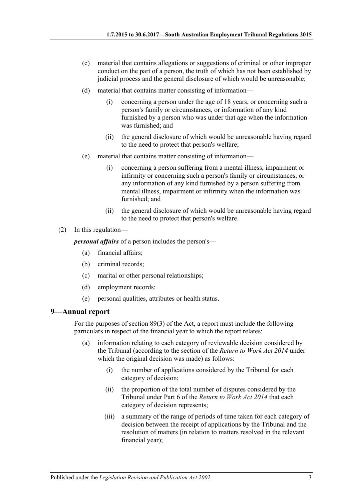- (c) material that contains allegations or suggestions of criminal or other improper conduct on the part of a person, the truth of which has not been established by judicial process and the general disclosure of which would be unreasonable;
- (d) material that contains matter consisting of information—
	- (i) concerning a person under the age of 18 years, or concerning such a person's family or circumstances, or information of any kind furnished by a person who was under that age when the information was furnished; and
	- (ii) the general disclosure of which would be unreasonable having regard to the need to protect that person's welfare;
- (e) material that contains matter consisting of information—
	- (i) concerning a person suffering from a mental illness, impairment or infirmity or concerning such a person's family or circumstances, or any information of any kind furnished by a person suffering from mental illness, impairment or infirmity when the information was furnished; and
	- (ii) the general disclosure of which would be unreasonable having regard to the need to protect that person's welfare.
- (2) In this regulation—

*personal affairs* of a person includes the person's—

- (a) financial affairs;
- (b) criminal records;
- (c) marital or other personal relationships;
- (d) employment records;
- (e) personal qualities, attributes or health status.

#### <span id="page-2-0"></span>**9—Annual report**

For the purposes of section 89(3) of the Act, a report must include the following particulars in respect of the financial year to which the report relates:

- (a) information relating to each category of reviewable decision considered by the Tribunal (according to the section of the *[Return to Work Act](http://www.legislation.sa.gov.au/index.aspx?action=legref&type=act&legtitle=Return%20to%20Work%20Act%202014) 2014* under which the original decision was made) as follows:
	- (i) the number of applications considered by the Tribunal for each category of decision;
	- (ii) the proportion of the total number of disputes considered by the Tribunal under Part 6 of the *[Return to Work Act](http://www.legislation.sa.gov.au/index.aspx?action=legref&type=act&legtitle=Return%20to%20Work%20Act%202014) 2014* that each category of decision represents;
	- (iii) a summary of the range of periods of time taken for each category of decision between the receipt of applications by the Tribunal and the resolution of matters (in relation to matters resolved in the relevant financial year);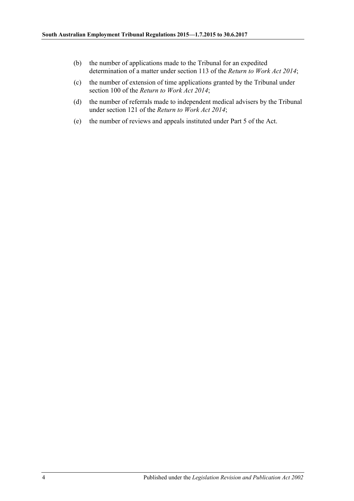- (b) the number of applications made to the Tribunal for an expedited determination of a matter under section 113 of the *[Return to Work Act](http://www.legislation.sa.gov.au/index.aspx?action=legref&type=act&legtitle=Return%20to%20Work%20Act%202014) 2014*;
- (c) the number of extension of time applications granted by the Tribunal under section 100 of the *[Return to Work Act](http://www.legislation.sa.gov.au/index.aspx?action=legref&type=act&legtitle=Return%20to%20Work%20Act%202014) 2014*;
- (d) the number of referrals made to independent medical advisers by the Tribunal under section 121 of the *[Return to Work Act](http://www.legislation.sa.gov.au/index.aspx?action=legref&type=act&legtitle=Return%20to%20Work%20Act%202014) 2014*;
- (e) the number of reviews and appeals instituted under Part 5 of the Act.